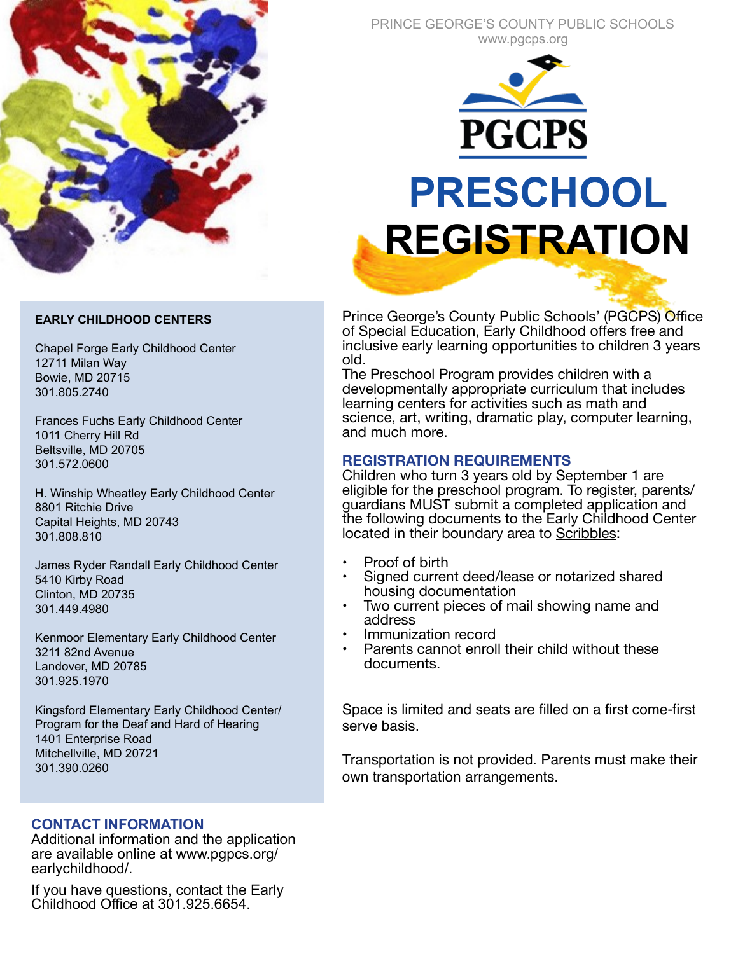

PRINCE GEORGE'S COUNTY PUBLIC SCHOOLS www.pgcps.org



## **PRESCHOOL REGISTRATION**

### **EARLY CHILDHOOD CENTERS**

Chapel Forge Early Childhood Center 12711 Milan Way Bowie, MD 20715 301.805.2740

Frances Fuchs Early Childhood Center 1011 Cherry Hill Rd Beltsville, MD 20705 301.572.0600

H. Winship Wheatley Early Childhood Center 8801 Ritchie Drive Capital Heights, MD 20743 301.808.810

James Ryder Randall Early Childhood Center 5410 Kirby Road Clinton, MD 20735 301.449.4980

Kenmoor Elementary Early Childhood Center 3211 82nd Avenue Landover, MD 20785 301.925.1970

Kingsford Elementary Early Childhood Center/ Program for the Deaf and Hard of Hearing 1401 Enterprise Road Mitchellville, MD 20721 301.390.0260

### **CONTACT INFORMATION**

Additional information and the application are available online at www.pgpcs.org/ earlychildhood/.

If you have questions, contact the Early Childhood Office at 301.925.6654.

Prince George's County Public Schools' (PGCPS) Office of Special Education, Early Childhood offers free and inclusive early learning opportunities to children 3 years old.

The Preschool Program provides children with a developmentally appropriate curriculum that includes learning centers for activities such as math and science, art, writing, dramatic play, computer learning, and much more.

### **REGISTRATION REQUIREMENTS**

Children who turn 3 years old by September 1 are eligible for the preschool program. To register, parents/ guardians MUST submit a completed application and the following documents to the Early Childhood Center located in their boundary area to Scribbles:

- Proof of birth
- Signed current deed/lease or notarized shared housing documentation
- Two current pieces of mail showing name and address
- Immunization record
- Parents cannot enroll their child without these documents.

Space is limited and seats are filled on a first come-first serve basis.

Transportation is not provided. Parents must make their own transportation arrangements.